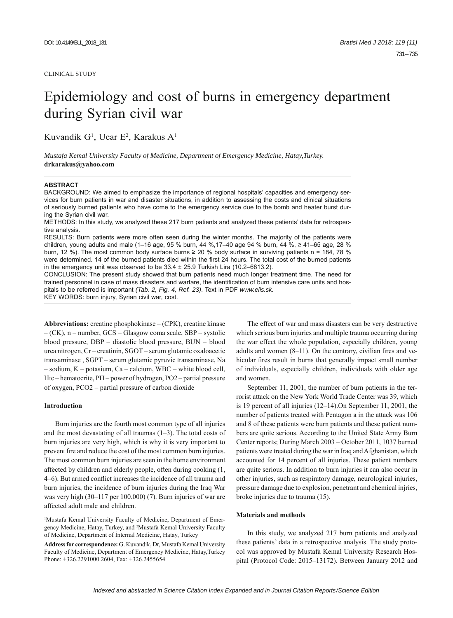## CLINICAL STUDY

# Epidemiology and cost of burns in emergency department during Syrian civil war

Kuvandik G<sup>1</sup>, Ucar E<sup>2</sup>, Karakus A<sup>1</sup>

*Mustafa Kemal University Faculty of Medicine, Department of Emergency Medicine, Hatay,Turkey.*  **drkarakus@yahoo.com**

## **ABSTRACT**

BACKGROUND: We aimed to emphasize the importance of regional hospitals' capacities and emergency services for burn patients in war and disaster situations, in addition to assessing the costs and clinical situations of seriously burned patients who have come to the emergency service due to the bomb and heater burst during the Syrian civil war.

METHODS: In this study, we analyzed these 217 burn patients and analyzed these patients' data for retrospective analysis.

RESULTS: Burn patients were more often seen during the winter months. The majority of the patients were children, young adults and male (1–16 age, 95 % burn, 44 %,17–40 age 94 % burn, 44 %, ≥ 41–65 age, 28 % burn, 12 %). The most common body surface burns  $\geq$  20 % body surface in surviving patients n = 184, 78 % were determined. 14 of the burned patients died within the first 24 hours. The total cost of the burned patients in the emergency unit was observed to be  $33.4 \pm 25.9$  Turkish Lira (10.2-6813.2).

CONCLUSION: The present study showed that burn patients need much longer treatment time. The need for trained personnel in case of mass disasters and warfare, the identification of burn intensive care units and hospitals to be referred is important *(Tab. 2, Fig. 4, Ref. 23)*. Text in PDF *www.elis.sk.*

KEY WORDS: burn injury, Syrian civil war, cost.

Abbreviations: creatine phosphokinase – (CPK), creatine kinase  $-$  (CK), n – number, GCS – Glasgow coma scale, SBP – systolic blood pressure, DBP – diastolic blood pressure, BUN – blood urea nitrogen, Cr - creatinin, SGOT - serum glutamic oxaloacetic transaminase, SGPT – serum glutamic pyruvic transaminase, Na  $-$  sodium,  $K$  – potasium,  $Ca$  – calcium, WBC – white blood cell, Htc – hematocrite, PH – power of hydrogen, PO2 – partial pressure of oxygen, PCO2 ‒ partial pressure of carbon dioxide

#### **Introduction**

Burn injuries are the fourth most common type of all injuries and the most devastating of all traumas (1–3). The total costs of burn injuries are very high, which is why it is very important to prevent fire and reduce the cost of the most common burn injuries. The most common burn injuries are seen in the home environment affected by children and elderly people, often during cooking (1, 4–6). But armed conflict increases the incidence of all trauma and burn injuries, the incidence of burn injuries during the Iraq War was very high (30–117 per 100.000) (7). Burn injuries of war are affected adult male and children.

<sup>1</sup>Mustafa Kemal University Faculty of Medicine, Department of Emergency Medicine, Hatay, Turkey, and 2 Mustafa Kemal University Faculty of Medicine, Department of İnternal Medicine, Hatay, Turkey

**Address for correspondence:** G. Kuvandik, Dr, Mustafa Kemal University Faculty of Medicine, Department of Emergency Medicine, Hatay,Turkey Phone: +326.2291000.2604, Fax: +326.2455654

The effect of war and mass disasters can be very destructive which serious burn injuries and multiple trauma occurring during the war effect the whole population, especially children, young adults and women  $(8-11)$ . On the contrary, civilian fires and vehicular fires result in burns that generally impact small number of individuals, especially children, individuals with older age and women.

September 11, 2001, the number of burn patients in the terrorist attack on the New York World Trade Center was 39, which is 19 percent of all injuries (12–14). On September 11, 2001, the number of patients treated with Pentagon a in the attack was 106 and 8 of these patients were burn patients and these patient numbers are quite serious. According to the United State Army Burn Center reports; During March 2003 - October 2011, 1037 burned patients were treated during the war in Iraq and Afghanistan, which accounted for 14 percent of all injuries. These patient numbers are quite serious. In addition to burn injuries it can also occur in other injuries, such as respiratory damage, neurological injuries, pressure damage due to explosion, penetrant and chemical injries, broke injuries due to trauma (15).

## **Materials and methods**

In this study, we analyzed 217 burn patients and analyzed these patients' data in a retrospective analysis. The study protocol was approved by Mustafa Kemal University Research Hospital (Protocol Code: 2015–13172). Between January 2012 and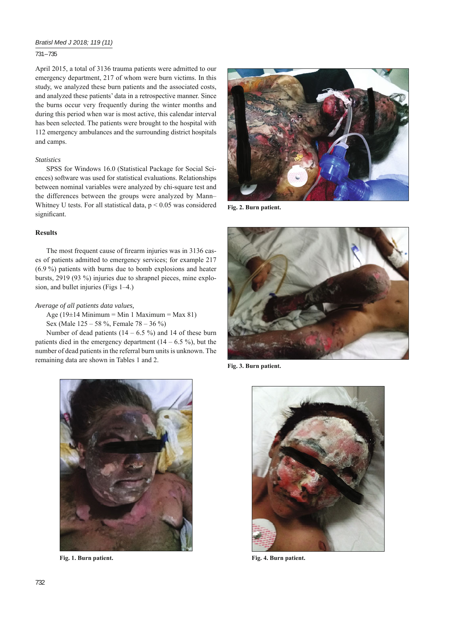# *Bratisl Med J 2018; 119 (11)*

# 731 – 735

April 2015, a total of 3136 trauma patients were admitted to our emergency department, 217 of whom were burn victims. In this study, we analyzed these burn patients and the associated costs, and analyzed these patients' data in a retrospective manner. Since the burns occur very frequently during the winter months and during this period when war is most active, this calendar interval has been selected. The patients were brought to the hospital with 112 emergency ambulances and the surrounding district hospitals and camps.

# *Statistics*

SPSS for Windows 16.0 (Statistical Package for Social Sciences) software was used for statistical evaluations. Relationships between nominal variables were analyzed by chi-square test and the differences between the groups were analyzed by Mann-Whitney U tests. For all statistical data, p < 0.05 was considered significant.

## **Results**

The most frequent cause of firearm injuries was in 3136 cases of patients admitted to emergency services; for example 217 (6.9 %) patients with burns due to bomb explosions and heater bursts, 2919 (93 %) injuries due to shrapnel pieces, mine explosion, and bullet injuries (Figs 1–4.)

## *Average of all patients data values,*

Age (19 $\pm$ 14 Minimum = Min 1 Maximum = Max 81)

Sex (Male 125 – 58 %, Female 78 – 36 %) Number of dead patients  $(14 - 6.5 \%)$  and 14 of these burn

patients died in the emergency department  $(14 – 6.5 %)$ , but the number of dead patients in the referral burn units is unknown. The remaining data are shown in Tables 1 and 2.



**Fig. 2. Burn patient.**



**Fig. 3. Burn patient.**



**Fig. 1. Burn patient.**



**Fig. 4. Burn patient.**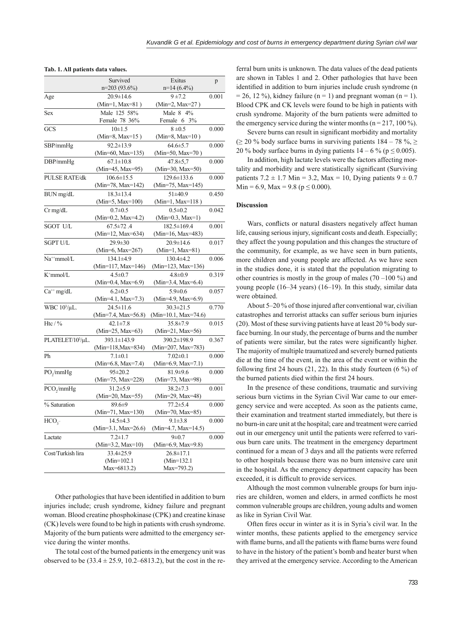|                               | Survived                              | Exitus                           | p     |  |
|-------------------------------|---------------------------------------|----------------------------------|-------|--|
|                               | $n=203(93.6%)$                        | $n=14(6.4\%)$                    |       |  |
| Age                           | 20.9±14.6                             | $9 + 7.2$                        | 0.001 |  |
|                               | (Min=1, Max=81)                       | (Min=2, Max=27)                  |       |  |
| Sex                           | Male 125 58%                          | Male 8 4%                        |       |  |
|                               | Female 78 36%                         | Female 6 3%                      |       |  |
| GCS                           | $10+1.5$                              | $8 + 0.5$                        | 0.000 |  |
|                               | (Min=8, Max=15)                       | (Min=8, Max= $10$ )              |       |  |
| SBP/mmHg                      | $92.2 \pm 13.9$                       | $64.6 \pm 5.7$                   | 0.000 |  |
|                               | (Min=60, Max=135)                     | (Min=50, Max=70)                 |       |  |
| DBP/mmHg                      | $67.1 \pm 10.8$                       | $47.8 \pm 5.7$                   | 0.000 |  |
|                               | (Min=45, Max=95)                      | (Min=30, Max=50)                 |       |  |
| <b>PULSE RATE/dk</b>          | $106.6 \pm 15.5$                      | 129.6±133.6                      | 0.000 |  |
|                               | (Min=78, Max=142)                     | (Min=75, Max=145)                |       |  |
| BUN mg/dL                     | $18.3 \pm 13.4$                       | $51 + 40.9$                      | 0.450 |  |
|                               | (Min=5, Max= $100$ )                  | $(Min=1, Max=118)$               |       |  |
| $Cr$ mg/dL                    | $0.7 \pm 0.5$                         | $0.5 \pm 0.2$                    | 0.042 |  |
|                               | $(Min=0.2, Max=4.2)$                  | $(Min=0.3, Max=1)$               |       |  |
| <b>SGOT U/L</b>               | $67.5 \pm 72.4$                       | 182.5±169.4                      | 0.001 |  |
|                               | (Min=12, Max=634)                     | (Min=16, Max=483)                |       |  |
| <b>SGPT U/L</b>               | 29.9±30                               | 20.9±14.6                        | 0.017 |  |
|                               | (Min=6, Max=267)                      | $(Min=1, Max=81)$                |       |  |
| Na <sup>++</sup> mmol/L       | 134.1±4.9                             | 130.4±4.2                        | 0.006 |  |
|                               | (Min=117, Max=146)                    | (Min=123, Max=136)               |       |  |
| K <sup>+</sup> mmol/L         | $4.5 \pm 0.7$                         | $4.8 \pm 0.9$                    | 0.319 |  |
|                               | (Min=0.4, Max=6.9)                    | (Min=3.4, Max=6.4)               |       |  |
| $Ca^{++}$ mg/dL               | $6.2 \pm 0.5$                         | $5.9 \pm 0.6$                    | 0.057 |  |
|                               | $(Min=4.1, Max=7.3)$                  | (Min=4.9, Max=6.9)               |       |  |
| WBC 10 <sup>3</sup> /μL.      | $24.5 \pm 11.6$                       | $30.3 \pm 21.5$                  | 0.770 |  |
| Htc $/$ %                     | (Min=7.4, Max=56.8)<br>$42.1 \pm 7.8$ | (Min=10.1, Max=74.6)<br>35.8±7.9 |       |  |
|                               | (Min=25, Max=63)                      | $(Min=21, Max=56)$               | 0.015 |  |
| PLATELET/10 <sup>3</sup> /µL. | 393.1±143.9                           | 390.2±198.9                      | 0.367 |  |
|                               | (Min=118, Max=834)                    | (Min=207, Max=783)               |       |  |
| Ph                            | $7.1 \pm 0.1$                         | $7.02 \pm 0.1$                   | 0.000 |  |
|                               | $(Min=6.8, Max=7.4)$                  | $(Min=6.9, Max=7.1)$             |       |  |
| PO <sub>2</sub> /mmHg         | $95 \pm 20.2$                         | $81.9 + 9.6$                     | 0.000 |  |
|                               | (Min=75, Max=228)                     | (Min=73, Max=98)                 |       |  |
| PCO <sub>2</sub> /mmHg        | $31.2 \pm 5.9$                        | $38.2 \pm 7.3$                   | 0.001 |  |
|                               | (Min=20, Max=55)                      | (Min=29, Max=48)                 |       |  |
| % Saturation                  | 89.6±9                                | $77.2 \pm 5.4$                   | 0.000 |  |
|                               | $(Min=71, Max=130)$                   | (Min=70, Max=85)                 |       |  |
| HCO <sub>3</sub>              | $14.5 + 4.3$                          | $9.1 \pm 3.8$                    | 0.000 |  |
|                               | (Min=3.1, Max=26.6)                   | $(Min=4.7, Max=14.5)$            |       |  |
| Lactate                       | $7.2 \pm 1.7$                         | $9 \pm 0.7$                      | 0.000 |  |
|                               | $(Min=3.2, Max=10)$                   | (Min=6.9, Max=9.8)               |       |  |
| Cost/Turkish lira             | 33.4±25.9                             | $26.8 \pm 17.1$                  |       |  |
|                               | $(Min=102.1)$                         | $(Min=132.1)$                    |       |  |
|                               | Max=6813.2)                           | Max=793.2)                       |       |  |

|  |  | Tab. 1. All patients data values. |  |  |
|--|--|-----------------------------------|--|--|
|--|--|-----------------------------------|--|--|

Other pathologies that have been identified in addition to burn injuries include; crush syndrome, kidney failure and pregnant woman. Blood creatine phosphokinase (CPK) and creatine kinase (CK) levels were found to be high in patients with crush syndrome. Majority of the burn patients were admitted to the emergency service during the winter months.

The total cost of the burned patients in the emergency unit was observed to be  $(33.4 \pm 25.9, 10.2 - 6813.2)$ , but the cost in the referral burn units is unknown. The data values of the dead patients are shown in Tables 1 and 2. Other pathologies that have been identified in addition to burn injuries include crush syndrome (n  $= 26$ , 12 %), kidney failure (n = 1) and pregnant woman (n = 1). Blood CPK and CK levels were found to be high in patients with crush syndrome. Majority of the burn patients were admitted to the emergency service during the winter months ( $n = 217, 100\%$ ).

Severe burns can result in significant morbidity and mortality ( $>$  20 % body surface burns in surviving patients  $184 - 78$  %. 20 % body surface burns in dying patients  $14 - 6$  % ( $p \le 0.005$ ).

In addition, high lactate levels were the factors affecting mortality and morbidity and were statistically significant (Surviving patients  $7.2 \pm 1.7$  Min = 3.2, Max = 10, Dying patients  $9 \pm 0.7$ Min = 6.9, Max = 9.8 ( $p \le 0.000$ ).

#### **Discussion**

Wars, conflicts or natural disasters negatively affect human life, causing serious injury, significant costs and death. Especially; they affect the young population and this changes the structure of the community, for example, as we have seen in burn patients, more children and young people are affected. As we have seen in the studies done, it is stated that the population migrating to other countries is mostly in the group of males  $(70-100\%)$  and young people (16–34 years) (16–19). In this study, similar data were obtained.

About 5–20 % of those injured after conventional war, civilian catastrophes and terrorist attacks can suffer serious burn injuries (20). Most of these surviving patients have at least 20 % body surface burning. In our study, the percentage of burns and the number of patients were similar, but the rates were significantly higher. The majority of multiple traumatized and severely burned patients die at the time of the event, in the area of the event or within the following first 24 hours (21, 22). In this study fourteen (6  $\%$ ) of the burned patients died within the first 24 hours.

In the presence of these conditions, traumatic and surviving serious burn victims in the Syrian Civil War came to our emergency service and were accepted. As soon as the patients came, their examination and treatment started immediately, but there is no burn-in care unit at the hospital; care and treatment were carried out in our emergency unit until the patients were referred to various burn care units. The treatment in the emergency department continued for a mean of 3 days and all the patients were referred to other hospitals because there was no burn intensive care unit in the hospital. As the emergency department capacity has been exceeded, it is difficult to provide services.

Although the most common vulnerable groups for burn injuries are children, women and elders, in armed conflicts he most common vulnerable groups are children, young adults and women as like in Syrian Civil War.

Often fires occur in winter as it is in Syria's civil war. In the winter months, these patients applied to the emergency service with flame burns, and all the patients with flame burns were found to have in the history of the patient's bomb and heater burst when they arrived at the emergency service. According to the American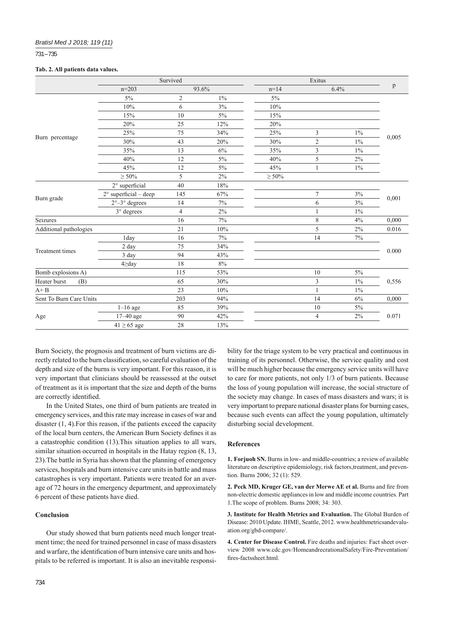# 731 – 735

## **Tab. 2. All patients data values.**

|                         | Survived                       |                |       | Exitus      |                |       | p     |  |
|-------------------------|--------------------------------|----------------|-------|-------------|----------------|-------|-------|--|
|                         | $n = 203$                      | 93.6%          |       | $n = 14$    |                | 6.4%  |       |  |
| Burn percentage         | 5%                             | $\mathfrak{2}$ | $1\%$ | 5%          |                |       | 0,005 |  |
|                         | 10%                            | 6              | 3%    | 10%         |                |       |       |  |
|                         | 15%                            | 10             | 5%    | 15%         |                |       |       |  |
|                         | 20%                            | 25             | 12%   | 20%         |                |       |       |  |
|                         | 25%                            | 75             | 34%   | 25%         | 3              | $1\%$ |       |  |
|                         | 30%                            | 43             | 20%   | 30%         | $\mathfrak{2}$ | $1\%$ |       |  |
|                         | 35%                            | 13             | 6%    | 35%         | 3              | $1\%$ |       |  |
|                         | 40%                            | 12             | 5%    | 40%         | 5              | 2%    |       |  |
|                         | 45%                            | 12             | 5%    | 45%         | 1              | $1\%$ |       |  |
|                         | $\geq 50\%$                    | 5              | 2%    | $\geq 50\%$ |                |       |       |  |
| Burn grade              | 2° superficial                 | 40             | 18%   |             |                |       | 0,001 |  |
|                         | $2^{\circ}$ superficial - deep | 145            | 67%   |             | $\tau$         | 3%    |       |  |
|                         | $2^{\circ}-3^{\circ}$ degrees  | 14             | 7%    |             | 6              | 3%    |       |  |
|                         | 3° degrees                     | $\overline{4}$ | 2%    |             | 1              | 1%    |       |  |
| Seizures                |                                | 16             | 7%    |             | $\,$ $\,$      | 4%    | 0,000 |  |
| Additional pathologies  |                                | 21             | 10%   |             | 5              | $2\%$ | 0.016 |  |
| <b>Treatment times</b>  | 1day                           | 16             | 7%    |             | 14             | 7%    |       |  |
|                         | 2 day                          | 75             | 34%   |             |                |       | 0.000 |  |
|                         | 3 day                          | 94             | 43%   |             |                |       |       |  |
|                         | $4 \geq$ day                   | 18             | 8%    |             |                |       |       |  |
| Bomb explosions A)      |                                | 115            | 53%   |             | 10             | 5%    | 0,556 |  |
| Heater burst<br>(B)     |                                | 65             | 30%   |             | 3              | $1\%$ |       |  |
| $A + B$                 |                                | 23             | 10%   |             | 1              | 1%    |       |  |
| Sent To Burn Care Units |                                | 203            | 94%   |             | 14             | 6%    | 0,000 |  |
| Age                     | $1-16$ age                     | 85             | 39%   |             | 10             | $5\%$ |       |  |
|                         | $17-40$ age                    | 90             | 42%   |             | 4              | 2%    | 0.071 |  |
|                         | $41 \geq 65$ age               | 28             | 13%   |             |                |       |       |  |

Burn Society, the prognosis and treatment of burn victims are directly related to the burn classification, so careful evaluation of the depth and size of the burns is very important. For this reason, it is very important that clinicians should be reassessed at the outset of treatment as it is important that the size and depth of the burns are correctly identified.

In the United States, one third of burn patients are treated in emergency services, and this rate may increase in cases of war and disaster (1, 4).For this reason, if the patients exceed the capacity of the local burn centers, the American Burn Society defines it as a catastrophic condition (13).This situation applies to all wars, similar situation occurred in hospitals in the Hatay region (8, 13, 23).The battle in Syria has shown that the planning of emergency services, hospitals and burn intensive care units in battle and mass catastrophes is very important. Patients were treated for an average of 72 hours in the emergency department, and approximately 6 percent of these patients have died.

## **Conclusion**

Our study showed that burn patients need much longer treatment time; the need for trained personnel in case of mass disasters and warfare, the identification of burn intensive care units and hospitals to be referred is important. It is also an inevitable responsibility for the triage system to be very practical and continuous in training of its personnel. Otherwise, the service quality and cost will be much higher because the emergency service units will have to care for more patients, not only 1/3 of burn patients. Because the loss of young population will increase, the social structure of the society may change. In cases of mass disasters and wars; it is very important to prepare national disaster plans for burning cases, because such events can affect the young population, ultimately disturbing social development.

## **References**

**1. Forjuoh SN.** Burns in low- and middle-countries; a review of available literature on descriptive epidemiology, risk factors,treatment, and prevention. Burns 2006; 32 (1): 529.

2. Peck MD, Kruger GE, van der Merwe AE et al. Burns and fire from non-electric domestic appliances in low and middle income countries. Part 1.The scope of problem. Burns 2008; 34: 303.

**3. Institute for Health Metrics and Evaluation.** The Global Burden of Disease: 2010 Update. IHME, Seattle, 2012. www.healthmetricsandevaluation.org/gbd-compare/.

**4. Center for Disease Control.** Fire deaths and injuries: Fact sheet overview 2008 www.cdc.gov/HomeandrecrationalSafety/Fire-Preventation/ fires-factssheet.html.